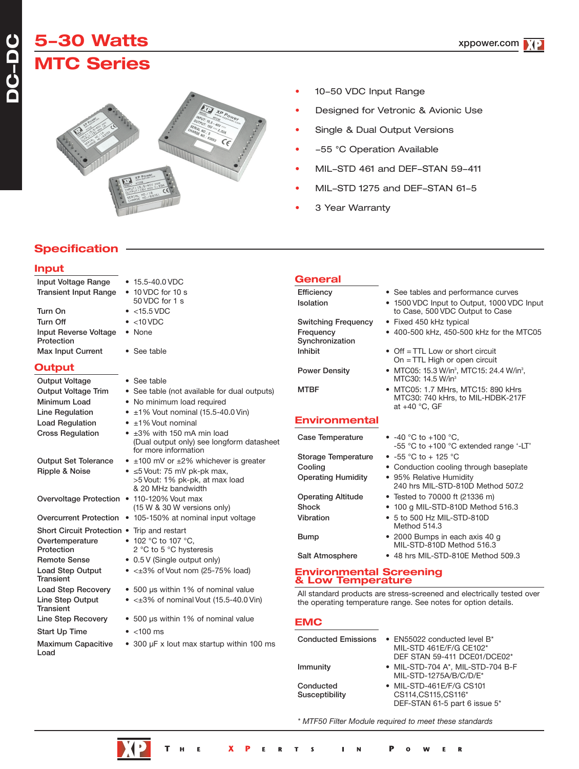# **5-30 Watts MTC Series**



- 10-50 VDC Input Range
- Designed for Vetronic & Avionic Use
- Single & Dual Output Versions
- -55 °C Operation Available
- MIL-STD 461 and DEF-STAN 59-411
- MIL-STD 1275 and DEF-STAN 61-5

to Case, 500 VDC Output to Case

On = TTL High or open circuit

MTC30: 740 kHrs, to MIL-HDBK-217F

-55 °C to +100 °C extended range '-LT'

240 hrs MIL-STD-810D Method 507.2

MIL-STD-810D Method 516.3

MTC30: 14.5 W/in<sup>3</sup>

at +40 °C, GF

3 Year Warranty

# **Specification**

### **Input**

| Input Voltage Range                         | $\bullet$ 15.5-40.0 VDC                                                                                       |
|---------------------------------------------|---------------------------------------------------------------------------------------------------------------|
| <b>Transient Input Range</b>                | $\bullet$ 10 VDC for 10 s                                                                                     |
|                                             | 50 VDC for 1 s                                                                                                |
| Turn On                                     | $\bullet$ <15.5 VDC                                                                                           |
| <b>Turn Off</b>                             | $\bullet$ <10 VDC                                                                                             |
| <b>Input Reverse Voltage</b><br>Protection  | • None                                                                                                        |
| <b>Max Input Current</b>                    | • See table                                                                                                   |
| Output                                      |                                                                                                               |
| <b>Output Voltage</b>                       | • See table                                                                                                   |
| <b>Output Voltage Trim</b>                  | • See table (not available for dual outputs)                                                                  |
| Minimum Load                                | • No minimum load required                                                                                    |
| Line Regulation                             | $\bullet$ ±1% Vout nominal (15.5-40.0 Vin)                                                                    |
| <b>Load Regulation</b>                      | $\bullet$ $\pm$ 1% Vout nominal                                                                               |
| <b>Cross Regulation</b>                     | $\bullet$ $\pm 3\%$ with 150 mA min load<br>(Dual output only) see longform datasheet<br>for more information |
| <b>Output Set Tolerance</b>                 | $\bullet$ ±100 mV or ±2% whichever is greater                                                                 |
| Ripple & Noise                              | $\bullet$ $\leq$ 5 Vout: 75 mV pk-pk max,<br>>5 Vout: 1% pk-pk, at max load<br>& 20 MHz bandwidth             |
| Overvoltage Protection • 110-120% Vout max  | (15 W & 30 W versions only)                                                                                   |
| <b>Overcurrent Protection</b>               | • 105-150% at nominal input voltage                                                                           |
| Short Circuit Protection . Trip and restart |                                                                                                               |
| Overtemperature                             | • 102 °C to 107 °C,                                                                                           |
| Protection                                  | 2 °C to 5 °C hysteresis                                                                                       |
| <b>Remote Sense</b>                         | • 0.5 V (Single output only)                                                                                  |
| <b>Load Step Output</b><br>Transient        | $\bullet$ < $\pm 3\%$ of Vout nom (25-75% load)                                                               |
| <b>Load Step Recovery</b>                   | • 500 µs within 1% of nominal value                                                                           |
| Line Step Output<br><b>Transient</b>        | $\bullet$ < $\pm 3\%$ of nominal Vout (15.5-40.0 Vin)                                                         |
| Line Step Recovery                          | • 500 µs within 1% of nominal value                                                                           |

Start Up Time • <100 ms

Load

- Bump 2000 Bumps in each axis 40 g
- 
- 
- 
- Maximum Capacitive 300 µF x lout max startup within 100 ms

# **General**

Efficiency • See tables and performance curves Isolation • 1500 VDC Input to Output, 1000 VDC Input

Switching Frequency • Fixed 450 kHz typical Frequency • 400-500 kHz, 450-500 kHz for the MTC05 **Synchronization**  $Inhibit$  • Off = TTL Low or short circuit

Power Density • MTC05: 15.3 W/in<sup>3</sup>, MTC15: 24.4 W/in<sup>3</sup>,

MTBF • MTC05: 1.7 MHrs, MTC15: 890 kHrs

### **Environmental**

Case Temperature • -40 °C to +100 °C, Storage Temperature • -55 °C to + 125 °C Cooling • Conduction cooling through baseplate Operating Humidity • 95% Relative Humidity

Operating Altitude • Tested to 70000 ft (21336 m) Shock • 100 g MIL-STD-810D Method 516.3 Vibration • 5 to 500 Hz MIL-STD-810D

```
Salt Atmosphere • 48 hrs MIL-STD-810E Method 509.3
```
# **Environmental Screening & Low Temperature**

All standard products are stress-screened and electrically tested over the operating temperature range. See notes for option details.

Method 514.3

**EMC**

| <b>Conducted Emissions</b>  | • EN55022 conducted level $B^*$<br>MIL-STD 461E/F/G CE102*<br>DEF STAN 59-411 DCE01/DCE02* |
|-----------------------------|--------------------------------------------------------------------------------------------|
| Immunity                    | • MIL-STD-704 A*, MIL-STD-704 B-F<br>MIL-STD-1275A/B/C/D/E*                                |
| Conducted<br>Susceptibility | • MIL-STD-461E/F/G CS101<br>CS114, CS115, CS116*<br>DEF-STAN 61-5 part 6 issue 5*          |

*\* MTF50 Filter Module required to meet these standards*

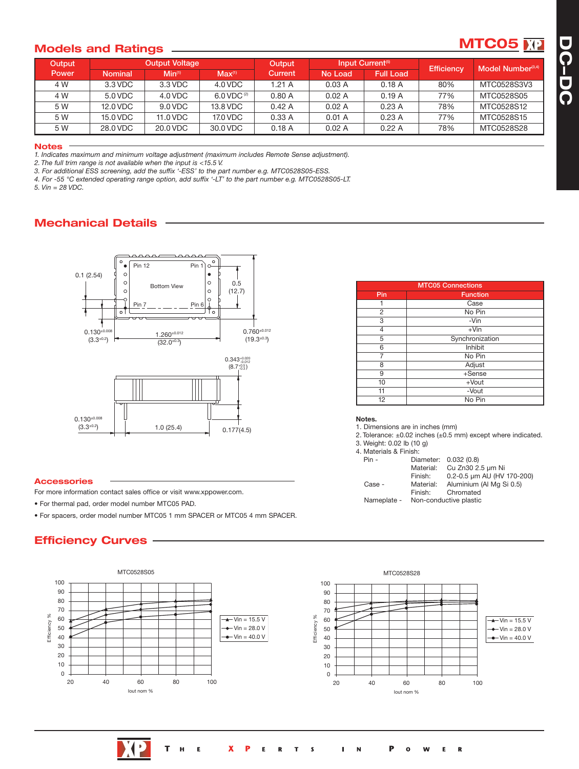### **Models** and **Ratings**

| <b>Output</b> |                | <b>Output Voltage</b> |                    | Output  |         | Input Current <sup>(5)</sup> | <b>Efficiency</b> | Model Number <sup>(3,4)</sup> |
|---------------|----------------|-----------------------|--------------------|---------|---------|------------------------------|-------------------|-------------------------------|
| Power         | <b>Nominal</b> | Min <sup>(1)</sup>    | Max <sup>(1)</sup> | Current | No Load | <b>Full Load</b>             |                   |                               |
| 4 W           | 3.3 VDC        | 3.3 VDC               | $4.0$ VDC          | 1.21A   | 0.03A   | 0.18A                        | 80%               | MTC0528S3V3                   |
| 4 W           | 5.0 VDC        | 4.0 VDC               | 6.0 VDC $(2)$      | 0.80A   | 0.02A   | 0.19A                        | 77%               | MTC0528S05                    |
| 5 W           | 12.0 VDC       | 9.0 VDC               | 13.8 VDC           | 0.42A   | 0.02A   | 0.23A                        | 78%               | MTC0528S12                    |
| 5 W           | 15.0 VDC       | 11.0 VDC              | 17.0 VDC           | 0.33A   | 0.01 A  | 0.23A                        | 77%               | MTC0528S15                    |
| 5 W           | 28.0 VDC       | 20.0 VDC              | 30.0 VDC           | 0.18A   | 0.02A   | 0.22A                        | 78%               | MTC0528S28                    |

#### **Notes**

*1. Indicates maximum and minimum voltage adjustment (maximum includes Remote Sense adjustment).*

*2. The full trim range is not available when the input is <15.5 V.*

*3. For additional ESS screening, add the suffix '-ESS' to the part number e.g. MTC0528S05-ESS.*

*4. For -55 °C extended operating range option, add suffix '-LT' to the part number e.g. MTC0528S05-LT.*

*5. Vin = 28 VDC.*

## **Mechanical Details**



#### **Accessories**

For more information contact sales office or visit www.xppower.com.

• For thermal pad, order model number MTC05 PAD.

• For spacers, order model number MTC05 1 mm SPACER or MTC05 4 mm SPACER.

## **Efficiency Curves**



| <b>MTC05 Connections</b> |                 |  |  |  |
|--------------------------|-----------------|--|--|--|
| Pin                      | <b>Function</b> |  |  |  |
|                          | Case            |  |  |  |
| 2                        | No Pin          |  |  |  |
| 3                        | -Vin            |  |  |  |
| 4                        | $+V$ in         |  |  |  |
| 5                        | Synchronization |  |  |  |
| 6                        | Inhibit         |  |  |  |
| 7                        | No Pin          |  |  |  |
| 8                        | Adjust          |  |  |  |
| 9                        | +Sense          |  |  |  |
| 10                       | $+$ Vout        |  |  |  |
| 11                       | -Vout           |  |  |  |
| 12                       | No Pin          |  |  |  |

#### **Notes.**

1. Dimensions are in inches (mm)

2. Tolerance:  $\pm 0.02$  inches  $(\pm 0.5 \text{ mm})$  except where indicated.

- 3. Weight: 0.02 lb (10 g)
- 4. Materials & Fin

| $N = 100$   |           |                            |
|-------------|-----------|----------------------------|
| $Pin -$     |           | Diameter: 0.032 (0.8)      |
|             | Material: | Cu Zn30 2.5 µm Ni          |
|             | Finish:   | 0.2-0.5 µm AU (HV 170-200) |
| Case -      | Material: | Aluminium (Al Mg Si 0.5)   |
|             | Finish:   | Chromated                  |
| Nameplate - |           | Non-conductive plastic     |

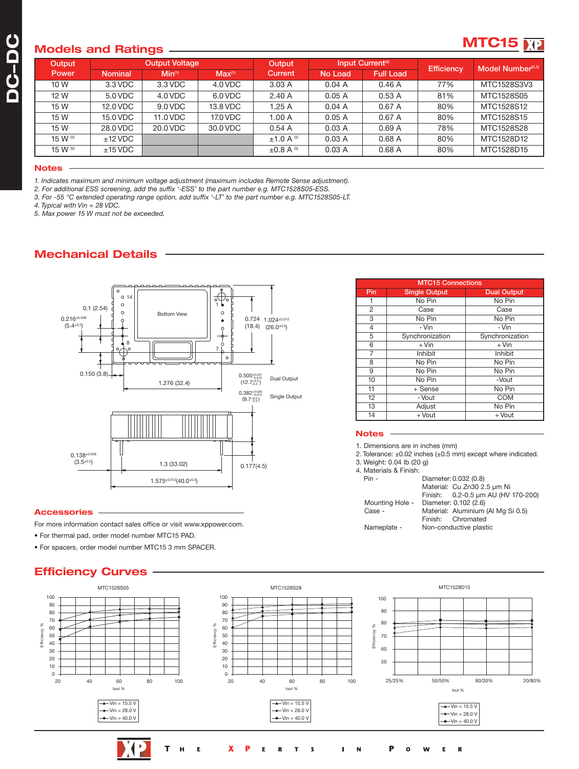### **Models and Ratings**

# **MTC15**

|              |                | $\tilde{\phantom{a}}$ |                    |                      |         |                              |                   |                               |
|--------------|----------------|-----------------------|--------------------|----------------------|---------|------------------------------|-------------------|-------------------------------|
| Output       |                | <b>Output Voltage</b> |                    | Output               |         | Input Current <sup>(4)</sup> | <b>Efficiency</b> | Model Number <sup>(2,3)</sup> |
| <b>Power</b> | <b>Nominal</b> | Min <sup>(1)</sup>    | Max <sup>(1)</sup> | Current              | No Load | <b>Full Load</b>             |                   |                               |
| 10 W         | 3.3 VDC        | 3.3 VDC               | 4.0 VDC            | 3.03A                | 0.04A   | 0.46A                        | 77%               | MTC1528S3V3                   |
| 12 W         | 5.0 VDC        | 4.0 VDC               | 6.0 VDC            | 2.40A                | 0.05A   | 0.53A                        | 81%               | MTC1528S05                    |
| 15 W         | 12.0 VDC       | 9.0 VDC               | 13.8 VDC           | 1.25 A               | 0.04A   | 0.67A                        | 80%               | MTC1528S12                    |
| 15 W         | 15.0 VDC       | 11.0 VDC              | 17.0 VDC           | 1.00A                | 0.05A   | 0.67A                        | 80%               | MTC1528S15                    |
| 15 W         | 28.0 VDC       | 20.0 VDC              | 30.0 VDC           | 0.54A                | 0.03A   | 0.69A                        | 78%               | MTC1528S28                    |
| 15 W (5)     | $±12$ VDC      |                       |                    | $±1.0 A^{(5)}$       | 0.03A   | 0.68A                        | 80%               | MTC1528D12                    |
| 15 W (5)     | $±15$ VDC      |                       |                    | $\pm 0.8$ A $^{(5)}$ | 0.03A   | 0.68A                        | 80%               | MTC1528D15                    |
|              |                |                       |                    |                      |         |                              |                   |                               |

#### **Notes**

*1. Indicates maximum and minimum voltage adjustment (maximum includes Remote Sense adjustment).*

*2. For additional ESS screening, add the suffix '-ESS' to the part number e.g. MTC1528S05-ESS.*

*3. For -55 °C extended operating range option, add suffix '-LT' to the part number e.g. MTC1528S05-LT.*

*4. Typical with Vin = 28 VDC.*

*5. Max power 15 W must not be exceeded.*

# **Mechanical Details**



#### **Accessories**

For more information contact sales office or visit www.xppower.com.

- For thermal pad, order model number MTC15 PAD.
- For spacers, order model number MTC15 3 mm SPACER.

### **Efficiency Curves**

| <b>MTC15 Connections</b> |                      |                    |  |  |  |
|--------------------------|----------------------|--------------------|--|--|--|
| Pin                      | <b>Single Output</b> | <b>Dual Output</b> |  |  |  |
|                          | No Pin               | No Pin             |  |  |  |
| 2                        | Case                 | Case               |  |  |  |
| 3                        | No Pin               | No Pin             |  |  |  |
| 4                        | - Vin                | - Vin              |  |  |  |
| 5                        | Synchronization      | Synchronization    |  |  |  |
| 6                        | $+$ Vin              | $+$ Vin            |  |  |  |
| 7                        | Inhibit              | Inhibit            |  |  |  |
| 8                        | No Pin               | No Pin             |  |  |  |
| 9                        | No Pin               | No Pin             |  |  |  |
| 10                       | No Pin               | -Vout              |  |  |  |
| 11                       | + Sense              | No Pin             |  |  |  |
| 12                       | - Vout               | <b>COM</b>         |  |  |  |
| 13                       | Adjust               | No Pin             |  |  |  |
| 14                       | + Vout               | + Vout             |  |  |  |

#### **Notes**

1. Dimensions are in inches (mm)

2. Tolerance:  $\pm 0.02$  inches ( $\pm 0.5$  mm) except where indicated.

- 3. Weight: 0.04 lb (20 g)
- 4. Materials & Finish:

| Pin -           | Diameter: 0.032 (0.8)              |
|-----------------|------------------------------------|
|                 | Material: Cu Zn30 2.5 µm Ni        |
|                 | Finish: 0.2-0.5 um AU (HV 170-200) |
| Mounting Hole - | Diameter: 0.102 (2.6)              |
| Case -          | Material: Aluminium (Al Mg Si 0.5) |
|                 | Finish: Chromated                  |
| Nameplate -     | Non-conductive plastic             |
|                 |                                    |